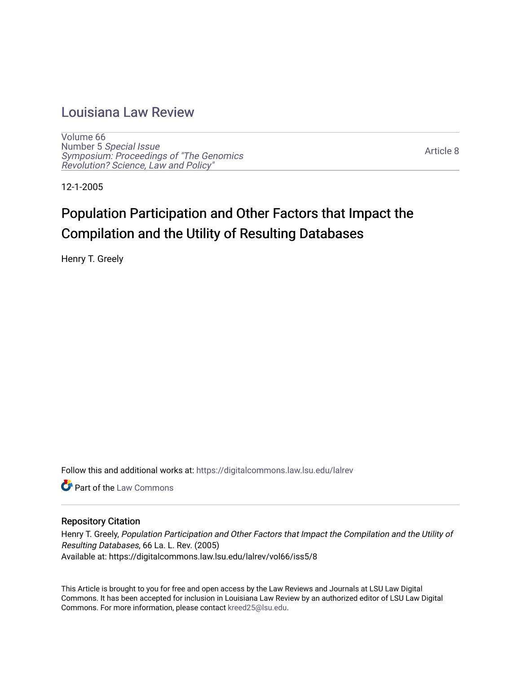## [Louisiana Law Review](https://digitalcommons.law.lsu.edu/lalrev)

[Volume 66](https://digitalcommons.law.lsu.edu/lalrev/vol66) Number 5 [Special Issue](https://digitalcommons.law.lsu.edu/lalrev/vol66/iss5) [Symposium: Proceedings of "The Genomics](https://digitalcommons.law.lsu.edu/lalrev/vol66/iss5)  [Revolution? Science, Law and Policy"](https://digitalcommons.law.lsu.edu/lalrev/vol66/iss5) 

[Article 8](https://digitalcommons.law.lsu.edu/lalrev/vol66/iss5/8) 

12-1-2005

# Population Participation and Other Factors that Impact the Compilation and the Utility of Resulting Databases

Henry T. Greely

Follow this and additional works at: [https://digitalcommons.law.lsu.edu/lalrev](https://digitalcommons.law.lsu.edu/lalrev?utm_source=digitalcommons.law.lsu.edu%2Flalrev%2Fvol66%2Fiss5%2F8&utm_medium=PDF&utm_campaign=PDFCoverPages)

**C** Part of the [Law Commons](https://network.bepress.com/hgg/discipline/578?utm_source=digitalcommons.law.lsu.edu%2Flalrev%2Fvol66%2Fiss5%2F8&utm_medium=PDF&utm_campaign=PDFCoverPages)

#### Repository Citation

Henry T. Greely, Population Participation and Other Factors that Impact the Compilation and the Utility of Resulting Databases, 66 La. L. Rev. (2005) Available at: https://digitalcommons.law.lsu.edu/lalrev/vol66/iss5/8

This Article is brought to you for free and open access by the Law Reviews and Journals at LSU Law Digital Commons. It has been accepted for inclusion in Louisiana Law Review by an authorized editor of LSU Law Digital Commons. For more information, please contact [kreed25@lsu.edu](mailto:kreed25@lsu.edu).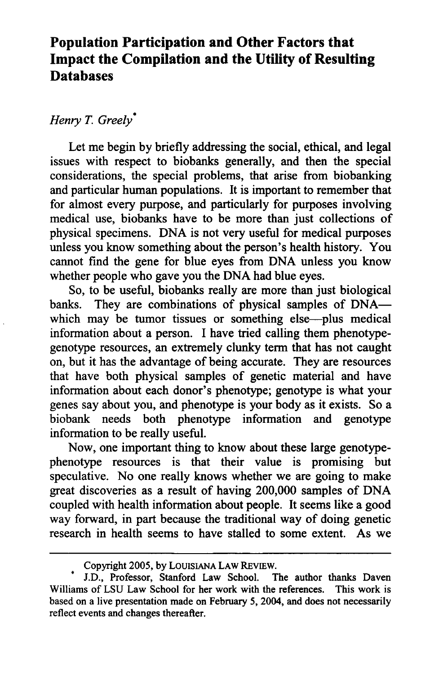## **Population Participation and Other Factors that Impact the Compilation and the Utility of Resulting Databases**

### *Henry T. Greely\**

Let me begin by briefly addressing the social, ethical, and legal issues with respect to biobanks generally, and then the special considerations, the special problems, that arise from biobanking and particular human populations. It is important to remember that for almost every purpose, and particularly for purposes involving medical use, biobanks have to be more than just collections of physical specimens. DNA is not very useful for medical purposes unless you know something about the person's health history. You cannot find the gene for blue eyes from DNA unless you know whether people who gave you the DNA had blue eyes.

So, to be useful, biobanks really are more than just biological banks. They are combinations of physical samples of DNAwhich may be tumor tissues or something else-plus medical information about a person. I have tried calling them phenotypegenotype resources, an extremely clunky term that has not caught on, but it has the advantage of being accurate. They are resources that have both physical samples of genetic material and have information about each donor's phenotype; genotype is what your genes say about you, and phenotype is your body as it exists. So a biobank needs both phenotype information and genotype information to be really useful.

Now, one important thing to know about these large genotypephenotype resources is that their value is promising but speculative. No one really knows whether we are going to make great discoveries as a result of having 200,000 samples of DNA coupled with health information about people. It seems like a good way forward, in part because the traditional way of doing genetic research in health seems to have stalled to some extent. As we

Copyright 2005, by LOUISIANA LAW REvIEW.

J.D., Professor, Stanford Law School. The author thanks Daven Williams of LSU Law School for her work with the references. This work is based on a live presentation made on February 5, 2004, and does not necessarily reflect events and changes thereafter.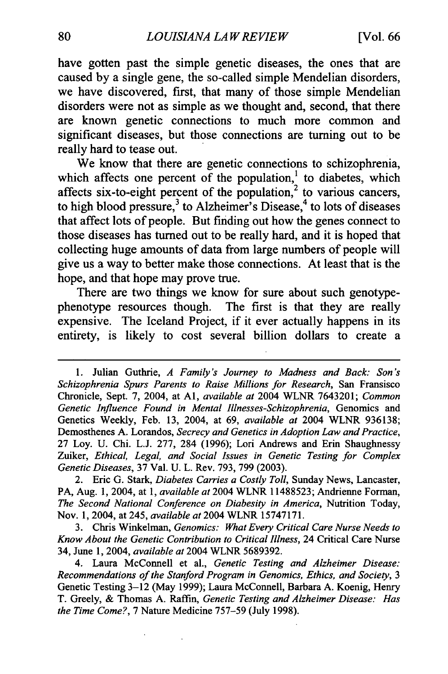have gotten past the simple genetic diseases, the ones that are caused **by** a single gene, the so-called simple Mendelian disorders, we have discovered, first, that many of those simple Mendelian disorders were not as simple as we thought and, second, that there are known genetic connections to much more common and significant diseases, but those connections are turning out to be really hard to tease out.

We know that there are genetic connections to schizophrenia, which affects one percent of the population,<sup>1</sup> to diabetes, which affects six-to-eight percent of the population,<sup>2</sup> to various cancers, to high blood pressure, $3$  to Alzheimer's Disease, $4$  to lots of diseases that affect lots of people. But finding out how the genes connect to those diseases has turned out to be really hard, and it is hoped that collecting huge amounts of data from large numbers of people will give us a way to better make those connections. At least that is the hope, and that hope may prove true.

There are two things we know for sure about such genotypephenotype resources though. The first is that they are really expensive. The Iceland Project, if it ever actually happens in its entirety, is likely to cost several billion dollars to create a

3. Chris Winkelman, *Genomics: What Every Critical Care Nurse Needs to* Know About the Genetic Contribution to Critical Illness, 24 Critical Care Nurse 34, June 1, 2004, *availableat* 2004 WLNR 5689392.

<sup>1.</sup> Julian Guthrie, *A Family's Journey to Madness and Back: Son's Schizophrenia Spurs Parents to Raise Millions for Research,* San Fransisco Chronicle, Sept. 7, 2004, at **Al,** *available at* 2004 WLNR 7643201; *Common Genetic Influence Found in Mental Illnesses-Schizophrenia,* Genomics and Genetics Weekly, Feb. 13, 2004, at 69, *available at* 2004 WLNR 936138; Demosthenes A. Lorandos, *Secrecy and Genetics in Adoption Law and Practice*, 27 Loy. U. Chi. L.J. 277, 284 (1996); Lori Andrews and Erin Shaughnessy Zuiker, *Ethical, Legal, and Social Issues in Genetic Testing for Complex GeneticDiseases,*37 Val. U. L. Rev. 793, 799 (2003).

<sup>2.</sup> Eric G. Stark, *Diabetes Carries a Costly Toll*, Sunday News, Lancaster, PA, Aug. 1, 2004, at 1, *availableat* 2004 WLNR 11488523; Andrienne Forman, *The Second National Conference on Diabesity in America,* Nutrition Today, Nov. 1, 2004, at 245, *availableat*2004 WLNR 15747171.

<sup>4.</sup> Laura McConnell et al., *Genetic Testing and Alzheimer Disease:*  Recommendations of the Stanford Program in Genomics, Ethics, and Society, 3 Genetic Testing 3-12 (May 1999); Laura McConnell, Barbara A. Koenig, Henry T. Greely, & Thomas A. Raffin, *Genetic Testing and Alzheimer Disease: Has the Time Come?,* 7 Nature Medicine 757-59 (July 1998).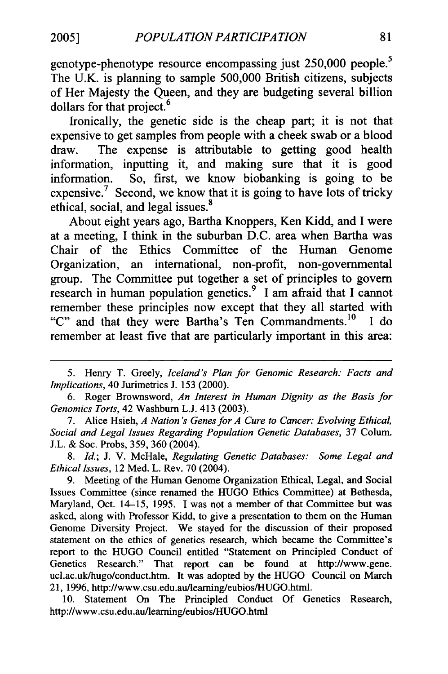genotype-phenotype resource encompassing just 250,000 people.<sup>5</sup> The U.K. is planning to sample 500,000 British citizens, subjects of Her Majesty the Queen, and they are budgeting several billion dollars for that project.<sup>6</sup>

Ironically, the genetic side is the cheap part; it is not that expensive to get samples from people with a cheek swab or a blood draw. The expense is attributable to getting good health information, inputting it, and making sure that it is good information. So, first, we know biobanking is going to be expensive.<sup>7</sup> Second, we know that it is going to have lots of tricky ethical, social, and legal issues.<sup>8</sup>

About eight years ago, Bartha Knoppers, Ken Kidd, and I were at a meeting, I think in the suburban D.C. area when Bartha was Chair of the Ethics Committee of the Human Genome Organization, an international, non-profit, non-governmental group. The Committee put together a set of principles to govern research in human population genetics.9 I am afraid that I cannot remember these principles now except that they all started with "C" and that they were Bartha's Ten Commandments.<sup>10</sup> I do remember at least five that are particularly important in this area:

*8. Id;* J. V. McHale, *Regulating Genetic Databases: Some Legal and EthicalIssues,* 12 Med. L. Rev. 70 (2004).

9. Meeting of the Human Genome Organization Ethical, Legal, and Social Issues Committee (since renamed the HUGO Ethics Committee) at Bethesda, Maryland, Oct. 14-15, 1995. I was not a member of that Committee but was asked, along with Professor Kidd, to give a presentation to them on the Human Genome Diversity Project. We stayed for the discussion of their proposed statement on the ethics of genetics research, which became the Committee's report to the HUGO Council entitled "Statement on Principled Conduct of Genetics Research." That report can be found at [http://www.gene.](http://www.gene) ucl.ac.uk/hugo/conduct.htm. It was adopted by the HUGO Council on March 21, 1996, [http://www.csu.edu.au/leaming/eubios/HUGO.htm1.](http://www.csu.edu.au/leaming/eubios/HUGO.htm1)

10. Statement On The Principled Conduct Of Genetics Research, <http://www.csu.edu.au/learning/eubios/HUGO.html>

<sup>5.</sup> Henry T. Greely, *Iceland's Plan for Genomic Research: Facts and Implications,*40 Jurimetrics J. 153 (2000).

<sup>6.</sup> Roger Brownsword, *An Interest in Human Dignity as the Basis for Genomics Torts,* 42 Washburn L.J. 413 (2003).

<sup>7.</sup> Alice Hsieh, *A Nation's Genesfor A Cure to Cancer: Evolving Ethical, Social and Legal Issues Regarding Population Genetic Databases,* 37 Colum. J.L. & Soc. Probs, 359, 360 (2004).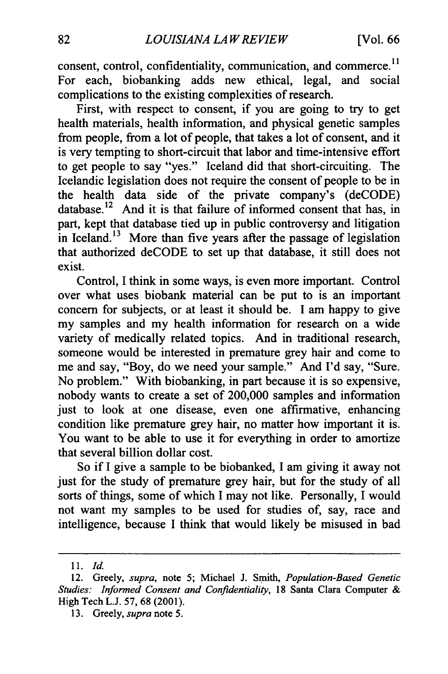consent, control, confidentiality, communication, and commerce.<sup>11</sup> For each, biobanking adds new ethical, legal, and social complications to the existing complexities of research.

First, with respect to consent, if you are going to try to get health materials, health information, and physical genetic samples from people, from a lot of people, that takes a lot of consent, and it is very tempting to short-circuit that labor and time-intensive effort to get people to say "yes." Iceland did that short-circuiting. The Icelandic legislation does not require the consent of people to be in the health data side of the private company's (deCODE) [database.12](https://database.12) And it is that failure of informed consent that has, in part, kept that database tied up in public controversy and litigation in Iceland.<sup>13</sup> More than five years after the passage of legislation that authorized deCODE to set up that database, it still does not exist.

Control, I think in some ways, is even more important. Control over what uses biobank material can be put to is an important concern for subjects, or at least it should be. I am happy to give my samples and my health information for research on a wide variety of medically related topics. And in traditional research, someone would be interested in premature grey hair and come to me and say, "Boy, do we need your sample." And I'd say, "Sure. No problem." With biobanking, in part because it is so expensive, nobody wants to create a set of 200,000 samples and information just to look at one disease, even one affirmative, enhancing condition like premature grey hair, no matter how important it is. You want to be able to use it for everything in order to amortize that several billion dollar cost.

So if I give a sample to be biobanked, I am giving it away not just for the study of premature grey hair, but for the study of all sorts of things, some of which I may not like. Personally, I would not want my samples to be used for studies of, say, race and intelligence, because I think that would likely be misused in bad

<sup>11.</sup> Id.

<sup>12.</sup> Greely, *supra*, note 5; Michael J. Smith, *Population-Based Genetic Studies: Informed Consent and Confidentiality,* 18 Santa Clara Computer & High Tech L.J. 57, 68 (2001).

<sup>13.</sup> Greely, *supra*note 5.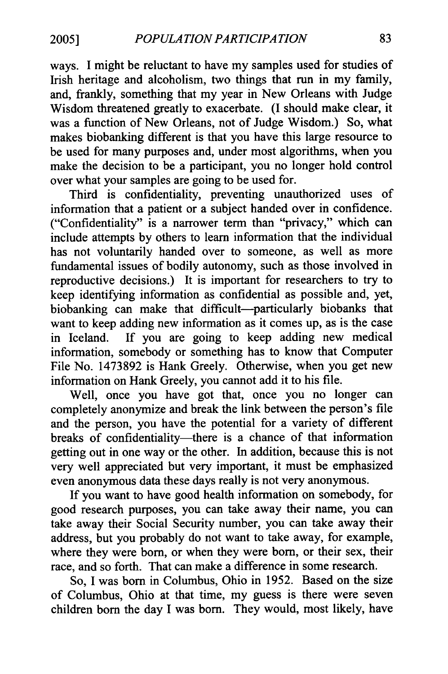ways. I might be reluctant to have my samples used for studies of Irish heritage and alcoholism, two things that run in my family, and, frankly, something that my year in New Orleans with Judge Wisdom threatened greatly to exacerbate. (I should make clear, it was a function of New Orleans, not of Judge Wisdom.) So, what makes biobanking different is that you have this large resource to be used for many purposes and, under most algorithms, when you make the decision to be a participant, you no longer hold control over what your samples are going to be used for.

Third is confidentiality, preventing unauthorized uses of information that a patient or a subject handed over in confidence. ("Confidentiality" is a narrower term than "privacy," which can include attempts by others to learn information that the individual has not voluntarily handed over to someone, as well as more fundamental issues of bodily autonomy, such as those involved in reproductive decisions.) It is important for researchers to try to keep identifying information as confidential as possible and, yet, biobanking can make that difficult-particularly biobanks that want to keep adding new information as it comes up, as is the case in Iceland. If you are going to keep adding new medical information, somebody or something has to know that Computer File No. 1473892 is Hank Greely. Otherwise, when you get new information on Hank Greely, you cannot add it to his file.

Well, once you have got that, once you no longer can completely anonymize and break the link between the person's file and the person, you have the potential for a variety of different breaks of confidentiality—there is a chance of that information getting out in one way or the other. In addition, because this is not very well appreciated but very important, it must be emphasized even anonymous data these days really is not very anonymous.

If you want to have good health information on somebody, for good research purposes, you can take away their name, you can take away their Social Security number, you can take away their address, but you probably do not want to take away, for example, where they were born, or when they were born, or their sex, their race, and so forth. That can make a difference in some research.

So, I was born in Columbus, Ohio in 1952. Based on the size of Columbus, Ohio at that time, my guess is there were seven children born the day I was born. They would, most likely, have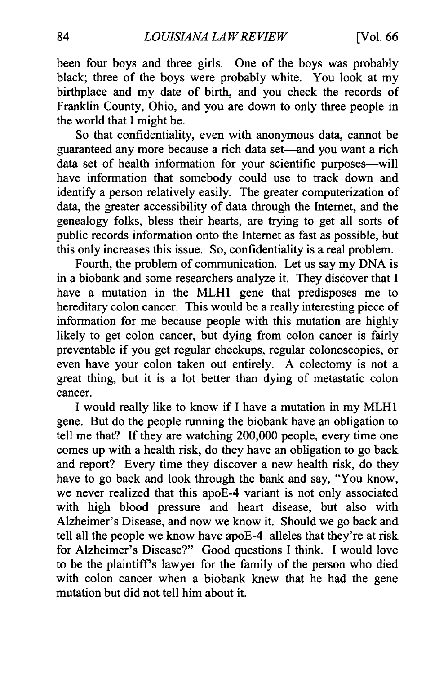been four boys and three girls. One of the boys was probably black; three of the boys were probably white. You look at my birthplace and my date of birth, and you check the records of Franklin County, Ohio, and you are down to only three people in the world that I might be.

So that confidentiality, even with anonymous data, cannot be guaranteed any more because a rich data set—and you want a rich data set of health information for your scientific purposes-will have information that somebody could use to track down and identify a person relatively easily. The greater computerization of data, the greater accessibility of data through the Internet, and the genealogy folks, bless their hearts, are trying to get all sorts of public records information onto the Internet as fast as possible, but this only increases this issue. So, confidentiality is a real problem.

Fourth, the problem of communication. Let us say my DNA is in a biobank and some researchers analyze it. They discover that I have a mutation in the MLH1 gene that predisposes me to hereditary colon cancer. This would be a really interesting piece of information for me because people with this mutation are highly likely to get colon cancer, but dying from colon cancer is fairly preventable if you get regular checkups, regular colonoscopies, or even have your colon taken out entirely. A colectomy is not a great thing, but it is a lot better than dying of metastatic colon cancer.

I would really like to know if I have a mutation in my MLH I gene. But do the people running the biobank have an obligation to tell me that? If they are watching 200,000 people, every time one comes up with a health risk, do they have an obligation to go back and report? Every time they discover a new health risk, do they have to go back and look through the bank and say, "You know, we never realized that this apoE-4 variant is not only associated with high blood pressure and heart disease, but also with Alzheimer's Disease, and now we know it. Should we go back and tell all the people we know have apoE-4 alleles that they're at risk for Alzheimer's Disease?" Good questions I think. I would love to be the plaintiff's lawyer for the family of the person who died with colon cancer when a biobank knew that he had the gene mutation but did not tell him about it.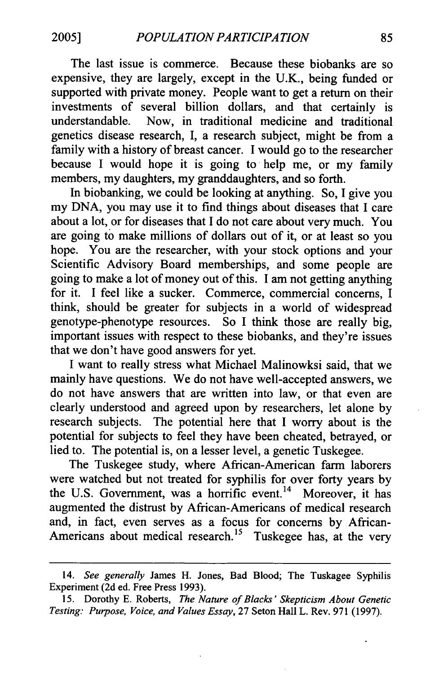The last issue is commerce. Because these biobanks are so expensive, they are largely, except in the U.K., being funded or supported with private money. People want to get a return on their investments of several billion dollars, and that certainly is understandable. Now, in traditional medicine and traditional genetics disease research, I, a research subject, might be from a family with a history of breast cancer. I would go to the researcher because I would hope it is going to help me, or my family members, my daughters, my granddaughters, and so forth.

In biobanking, we could be looking at anything. So, I give you my DNA, you may use it to find things about diseases that I care about a lot, or for diseases that I do not care about very much. You are going to make millions of dollars out of it, or at least so you hope. You are the researcher, with your stock options and your Scientific Advisory Board memberships, and some people are going to make a lot of money out of this. I am not getting anything for it. I feel like a sucker. Commerce, commercial concerns, I think, should be greater for subjects in a world of widespread genotype-phenotype resources. So I think those are really big, important issues with respect to these biobanks, and they're issues that we don't have good answers for yet.

I want to really stress what Michael Malinowksi said, that we mainly have questions. We do not have well-accepted answers, we do not have answers that are written into law, or that even are clearly understood and agreed upon by researchers, let alone by research subjects. The potential here that I worry about is the potential for subjects to feel they have been cheated, betrayed, or lied to. The potential is, on a lesser level, a genetic Tuskegee.

The Tuskegee study, where African-American farm laborers were watched but not treated for syphilis for over forty years by the U.S. Government, was a horrific event.<sup>14</sup> Moreover, it has augmented the distrust by African-Americans of medical research and, in fact, even serves as a focus for concerns by African-Americans about medical research.<sup>15</sup> Tuskegee has, at the very

<sup>14.</sup> *See generally* James H. Jones, Bad Blood; The Tuskagee Syphilis Experiment (2d ed. Free Press 1993).

<sup>15.</sup> Dorothy E. Roberts, *The Nature of Blacks' Skepticism About Genetic Testing: Purpose, Voice, and Values Essay,* 27 Seton Hall L. Rev. 971 (1997).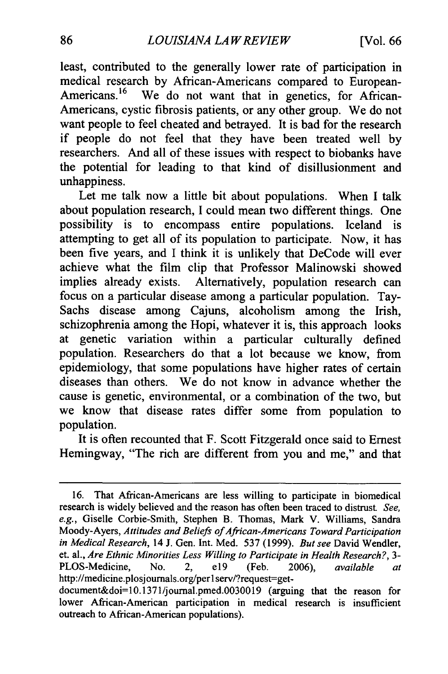least, contributed to the generally lower rate of participation in medical research by African-Americans compared to European-Americans.<sup>16</sup> We do not want that in genetics, for African-Americans, cystic fibrosis patients, or any other group. We do not want people to feel cheated and betrayed. It is bad for the research if people do not feel that they have been treated well by researchers. And all of these issues with respect to biobanks have the potential for leading to that kind of disillusionment and unhappiness.

Let me talk now a little bit about populations. When I talk about population research, I could mean two different things. One possibility is to encompass entire populations. Iceland is attempting to get all of its population to participate. Now, it has been five years, and I think it is unlikely that DeCode will ever achieve what the film clip that Professor Malinowski showed implies already exists. Alternatively, population research can focus on a particular disease among a particular population. Tay-Sachs disease among Cajuns, alcoholism among the Irish, schizophrenia among the Hopi, whatever it is, this approach looks at genetic variation within a particular culturally defined population. Researchers do that a lot because we know, from epidemiology, that some populations have higher rates of certain diseases than others. We do not know in advance whether the cause is genetic, environmental, or a combination of the two, but we know that disease rates differ some from population to population.

It is often recounted that F. Scott Fitzgerald once said to Ernest Hemingway, "The rich are different from you and me," and that

<sup>16.</sup> That African-Americans are less willing to participate in biomedical research is widely believed and the reason has often been traced to distrust *See, e.g.,* Giselle Corbie-Smith, Stephen B. Thomas, Mark V. Williams, Sandra Moody-Ayers, *Attitudes and Beliefs of African-Americans Toward Participation* in Medical Research, 14 J. Gen. Int. Med. 537 (1999). *But see David Wendler*, et. al., *Are Ethnic Minorities Less Willing to Participate in Health Research?*, 3-PLOS-Medicine, No. 2, e19 (Feb. 2006), *available at* http://medicine.plosjournals.org/perlserv/?request=get-

document&doi=10.1371/journal.pmed.0030019 (arguing that the reason for lower African-American participation in medical research is insufficient outreach to African-American populations).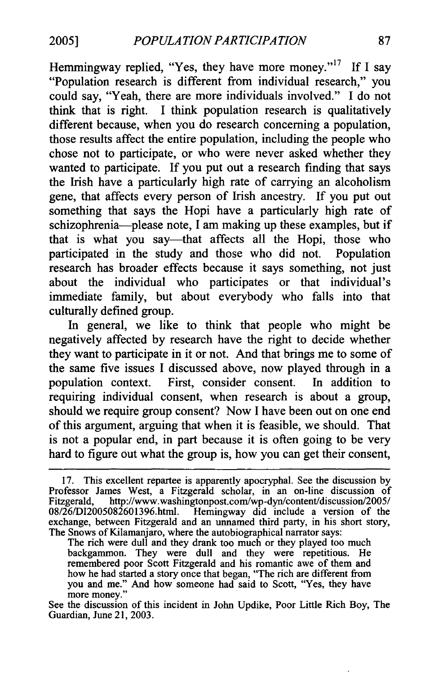Hemmingway replied, "Yes, they have more money."<sup>17</sup> If I say "Population research is different from individual research," you could say, "Yeah, there are more individuals involved." I do not think that is right. I think population research is qualitatively different because, when you do research concerning a population, those results affect the entire population, including the people who chose not to participate, or who were never asked whether they wanted to participate. If you put out a research finding that says the Irish have a particularly high rate of carrying an alcoholism gene, that affects every person of Irish ancestry. If you put out something that says the Hopi have a particularly high rate of schizophrenia-please note, I am making up these examples, but if that is what you say-that affects all the Hopi, those who participated in the study and those who did not. Population research has broader effects because it says something, not just about the individual who participates or that individual's immediate family, but about everybody who falls into that culturally defined group.

In general, we like to think that people who might be negatively affected by research have the right to decide whether they want to participate in it or not. And that brings me to some of the same five issues I discussed above, now played through in a population context. First, consider consent. In addition to requiring individual consent, when research is about a group, should we require group consent? Now I have been out on one end of this argument, arguing that when it is feasible, we should. That is not a popular end, in part because it is often going to be very hard to figure out what the group is, how you can get their consent,

The rich were dull and they drank too much or they played too much backgammon. They were dull and they were repetitious. He remembered poor Scott Fitzgerald and his romantic awe of them and how he had started a story once that began, "The rich are different from you and me." And how someone had said to Scott, "Yes, they have more money."

See the discussion of this incident in John Updike, Poor Little Rich Boy, The Guardian, June 21, 2003.

<sup>17.</sup> This excellent repartee is apparently apocryphal. See the discussion by Professor James West, a Fitzgerald scholar, in an on-line discussion of Fitzgerald, [http://www.washingtonpost.com/wp-dyn/content/discussion/2005/](http://www.washingtonpost.com/wp-dyn/content/discussion/2005) 08/26/DI2005082601396.html. Hemingway did include a version of the exchange, between Fitzgerald and an unnamed third party, in his short story, The Snows of Kilamanjaro, where the autobiographical narrator says: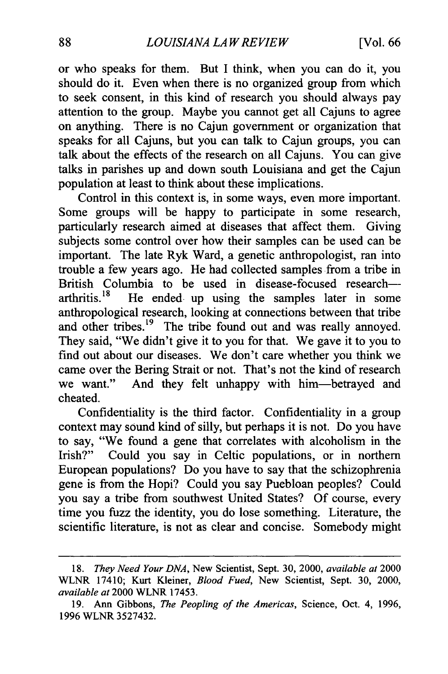or who speaks for them. But I think, when you can do it, you should do it. Even when there is no organized group from which to seek consent, in this kind of research you should always pay attention to the group. Maybe you cannot get all Cajuns to agree on anything. There is no Cajun government or organization that speaks for all Cajuns, but you can talk to Cajun groups, you can talk about the effects of the research on all Cajuns. You can give talks in parishes up and down south Louisiana and get the Cajun population at least to think about these implications.

Control in this context is, in some ways, even more important. Some groups will be happy to participate in some research, particularly research aimed at diseases that affect them. Giving subjects some control over how their samples can be used can be important. The late Ryk Ward, a genetic anthropologist, ran into trouble a few years ago. He had collected samples from a tribe in British Columbia to be used in disease-focused research—<br>arthritis.<sup>18</sup> He ended up using the samples later in some He ended up using the samples later in some anthropological research, looking at connections between that tribe and other tribes.<sup>19</sup> The tribe found out and was really annoyed. They said, "We didn't give it to you for that. We gave it to you to find out about our diseases. We don't care whether you think we came over the Bering Strait or not. That's not the kind of research we want." And they felt unhappy with him-betrayed and cheated.

Confidentiality is the third factor. Confidentiality in a group context may sound kind of silly, but perhaps it is not. Do you have to say, "We found a gene that correlates with alcoholism in the Irish?" Could you say in Celtic populations, or in northern European populations? Do you have to say that the schizophrenia gene is from the Hopi? Could you say Puebloan peoples? Could you say a tribe from southwest United States? Of course, every time you fuzz the identity, you do lose something. Literature, the scientific literature, is not as clear and concise. Somebody might

*<sup>18.</sup> They Need Your DNA,* New Scientist, Sept. 30, 2000, *availableat* 2000 WLNR 17410; Kurt Kleiner, *Blood Fued,* New Scientist, Sept. 30, 2000, *availableat* 2000 WLNR 17453.

<sup>19.</sup> Ann Gibbons, *The Peopling of the Americas,* Science, Oct. 4, 1996, 1996 WLNR 3527432.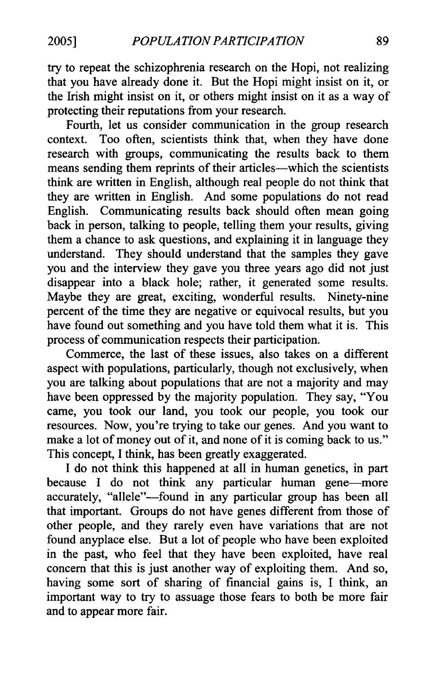try to repeat the schizophrenia research on the Hopi, not realizing that you have already done it. But the Hopi might insist on it, or the Irish might insist on it, or others might insist on it as a way of protecting their reputations from your research.

Fourth, let us consider communication in the group research context. Too often, scientists think that, when they have done research with groups, communicating the results back to them means sending them reprints of their articles-which the scientists think are written in English, although real people do not think that they are written in English. And some populations do not read English. Communicating results back should often mean going back in person, talking to people, telling them your results, giving them a chance to ask questions, and explaining it in language they understand. They should understand that the samples they gave you and the interview they gave you three years ago did not just disappear into a black hole; rather, it generated some results. Maybe they are great, exciting, wonderful results. Ninety-nine percent of the time they are negative or equivocal results, but you have found out something and you have told them what it is. This process of communication respects their participation.

Commerce, the last of these issues, also takes on a different aspect with populations, particularly, though not exclusively, when you are talking about populations that are not a majority and may have been oppressed by the majority population. They say, "You came, you took our land, you took our people, you took our resources. Now, you're trying to take our genes. And you want to make a lot of money out of it, and none of it is coming back to us." This concept, I think, has been greatly exaggerated.

I do not think this happened at all in human genetics, in part because I do not think any particular human gene-more accurately, "allele"--found in any particular group has been all that important. Groups do not have genes different from those of other people, and they rarely even have variations that are not found anyplace else. But a lot of people who have been exploited in the past, who feel that they have been exploited, have real concern that this is just another way of exploiting them. And so, having some sort of sharing of financial gains is, I think, an important way to try to assuage those fears to both be more fair and to appear more fair.